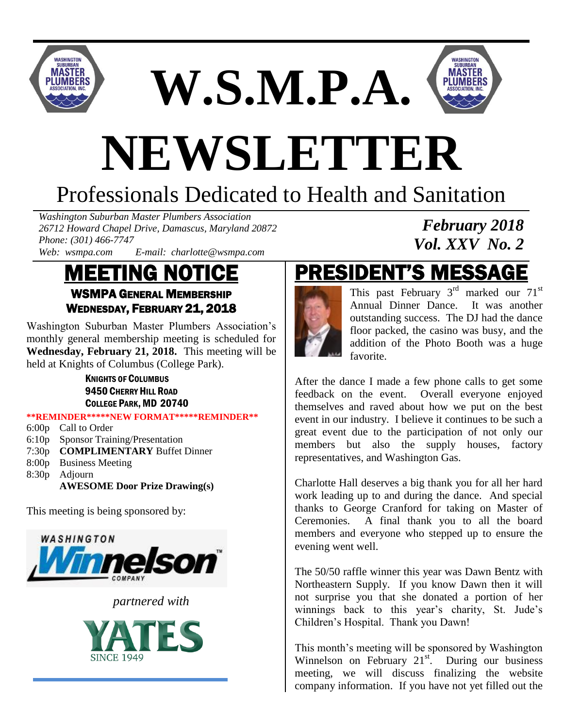

**W.S.M.P.A.**



*February 2018 Vol. XXV No. 2*

# **NEWSLETTER**

# Professionals Dedicated to Health and Sanitation

*Washington Suburban Master Plumbers Association 26712 Howard Chapel Drive, Damascus, Maryland 20872 Phone: (301) 466-7747*

*Web: wsmpa.com E-mail: charlotte@wsmpa.com*

## MEETING NOTICE WSMPA GENERAL MEMBERSHIP

WEDNESDAY, FEBRUARY 21, 2018

Washington Suburban Master Plumbers Association's monthly general membership meeting is scheduled for **Wednesday, February 21, 2018.** This meeting will be held at Knights of Columbus (College Park).

> KNIGHTS OF COLUMBUS 9450 CHERRY HILL ROAD COLLEGE PARK, MD 20740

**\*\*REMINDER\*\*\*\*\*NEW FORMAT\*\*\*\*\*REMINDER\*\***

- 6:00p Call to Order
- 6:10p Sponsor Training/Presentation
- 7:30p **COMPLIMENTARY** Buffet Dinner
- 8:00p Business Meeting

8:30p Adjourn

**AWESOME Door Prize Drawing(s)**

This meeting is being sponsored by:



*partnered with*



## PRESIDENT'S MESSAGE



This past February  $3<sup>rd</sup>$  marked our  $71<sup>st</sup>$ Annual Dinner Dance. It was another outstanding success. The DJ had the dance floor packed, the casino was busy, and the addition of the Photo Booth was a huge favorite.

After the dance I made a few phone calls to get some feedback on the event. Overall everyone enjoyed themselves and raved about how we put on the best event in our industry. I believe it continues to be such a great event due to the participation of not only our members but also the supply houses, factory representatives, and Washington Gas.

Charlotte Hall deserves a big thank you for all her hard work leading up to and during the dance. And special thanks to George Cranford for taking on Master of Ceremonies. A final thank you to all the board members and everyone who stepped up to ensure the evening went well.

The 50/50 raffle winner this year was Dawn Bentz with Northeastern Supply. If you know Dawn then it will not surprise you that she donated a portion of her winnings back to this year's charity, St. Jude's Children's Hospital. Thank you Dawn!

This month's meeting will be sponsored by Washington Winnelson on February  $21<sup>st</sup>$ . During our business meeting, we will discuss finalizing the website company information. If you have not yet filled out the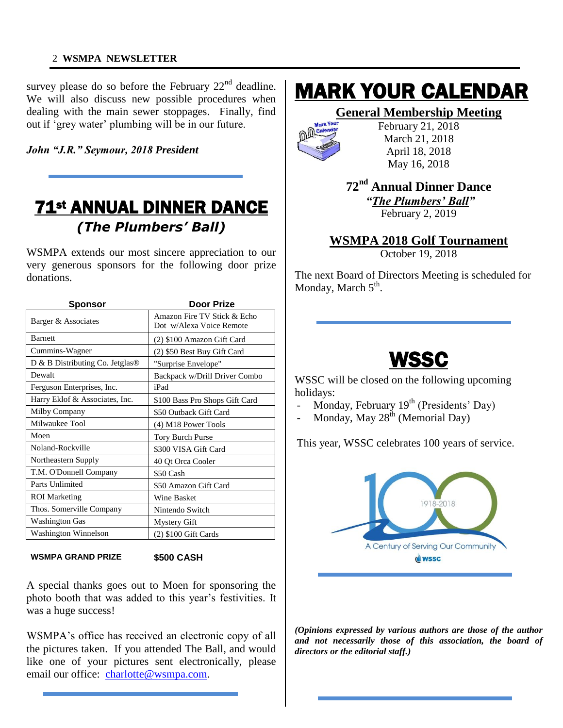#### 2 **WSMPA NEWSLETTER**

survey please do so before the February  $22<sup>nd</sup>$  deadline. We will also discuss new possible procedures when dealing with the main sewer stoppages. Finally, find out if 'grey water' plumbing will be in our future.

*John "J.R." Seymour, 2018 President*

### 71st ANNUAL DINNER DANCE *(The Plumbers' Ball)*

Ξ

WSMPA extends our most sincere appreciation to our very generous sponsors for the following door prize donations.

| <b>Sponsor</b>                             | <b>Door Prize</b>                                       |
|--------------------------------------------|---------------------------------------------------------|
| Barger & Associates                        | Amazon Fire TV Stick & Echo<br>Dot w/Alexa Voice Remote |
| <b>Barnett</b>                             | (2) \$100 Amazon Gift Card                              |
| Cummins-Wagner                             | (2) \$50 Best Buy Gift Card                             |
| D & B Distributing Co. Jetglas $\circledR$ | "Surprise Envelope"                                     |
| Dewalt                                     | Backpack w/Drill Driver Combo                           |
| Ferguson Enterprises, Inc.                 | iPad                                                    |
| Harry Eklof & Associates, Inc.             | \$100 Bass Pro Shops Gift Card                          |
| Milby Company                              | \$50 Outback Gift Card                                  |
| Milwaukee Tool                             | (4) M18 Power Tools                                     |
| Moen                                       | <b>Tory Burch Purse</b>                                 |
| Noland-Rockville                           | \$300 VISA Gift Card                                    |
| Northeastern Supply                        | 40 Qt Orca Cooler                                       |
| T.M. O'Donnell Company                     | \$50 Cash                                               |
| Parts Unlimited                            | \$50 Amazon Gift Card                                   |
| <b>ROI</b> Marketing                       | <b>Wine Basket</b>                                      |
| Thos. Somerville Company                   | Nintendo Switch                                         |
| Washington Gas                             | <b>Mystery Gift</b>                                     |
| Washington Winnelson                       | $(2)$ \$100 Gift Cards                                  |

**WSMPA GRAND PRIZE \$500 CASH**

A special thanks goes out to Moen for sponsoring the photo booth that was added to this year's festivities. It was a huge success!

WSMPA's office has received an electronic copy of all the pictures taken. If you attended The Ball, and would like one of your pictures sent electronically, please email our office: [charlotte@wsmpa.com.](mailto:charlotte@wsmpa.com)

## MARK YOUR CALENDAR

#### **General Membership Meeting**



February 21, 2018 March 21, 2018 April 18, 2018 May 16, 2018

#### **72nd Annual Dinner Dance** *"The Plumbers' Ball"* February 2, 2019

**WSMPA 2018 Golf Tournament**

October 19, 2018

The next Board of Directors Meeting is scheduled for Monday, March 5<sup>th</sup>.

## WSSC

Ξ

WSSC will be closed on the following upcoming holidays:

- Monday, February 19<sup>th</sup> (Presidents' Day)
- Monday, May  $28^{th}$  (Memorial Day)

This year, WSSC celebrates 100 years of service.



*(Opinions expressed by various authors are those of the author and not necessarily those of this association, the board of directors or the editorial staff.)*